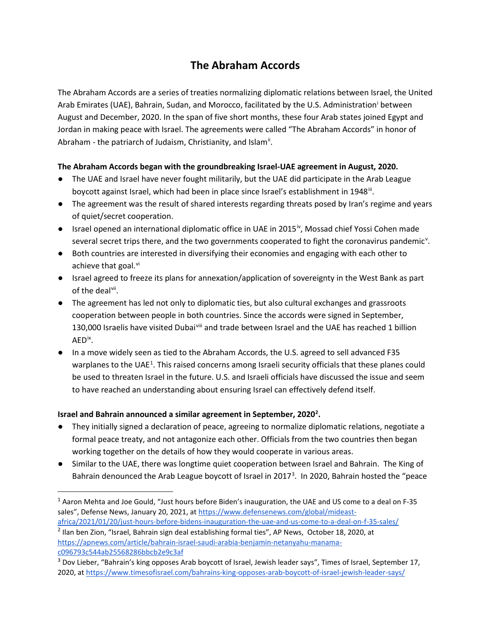# **The Abraham Accords**

The Abraham Accords are a series of treaties normalizing diplomatic relations between Israel, the United Arab Emirates (UAE), Bahrain, Sudan, and Morocco, facilitated by the U.S. Administratio[ni](#page-2-0) between August and December, 2020. In the span of five short months, these four Arab states joined Egypt and Jordan in making peace with Israel. The agreements were called "The Abraham Accords" in honor of Abraham - the patriarch of Judaism, Christianity, and Islam<sup>[ii](#page-2-1)</sup>.

#### **The Abraham Accords began with the groundbreaking Israel-UAE agreement in August, 2020.**

- The UAE and Israel have never fought militarily, but the UAE did participate in the Arab League boycott against Israel, which had been in place since Israel's establishment in 1948<sup>ii</sup>.
- The agreement was the result of shared interests regarding threats posed by Iran's regime and years of quiet/secret cooperation.
- Israel opened an international diplomatic office in UAE in 2015<sup>[iv](#page-2-3)</sup>, Mossad chief Yossi Cohen made se[v](#page-2-4)eral secret trips there, and the two governments cooperated to fight the coronavirus pandemic<sup>v</sup>.
- Both countries are interested in diversifying their economies and engaging with each other to achieve that goal. $\frac{vi}{i}$  $\frac{vi}{i}$  $\frac{vi}{i}$
- Israel agreed to freeze its plans for annexation/application of sovereignty in the West Bank as part of the deal<sup>vii</sup>.
- The agreement has led not only to diplomatic ties, but also cultural exchanges and grassroots cooperation between people in both countries. Since the accords were signed in September, 130,000 Israelis have visited Dubai[viii](#page-2-7) and trade between Israel and the UAE has reached 1 billion AED[ix](#page-2-8).
- In a move widely seen as tied to the Abraham Accords, the U.S. agreed to sell advanced F35 warplanes to the UAE<sup>[1](#page-0-0)</sup>. This raised concerns among Israeli security officials that these planes could be used to threaten Israel in the future. U.S. and Israeli officials have discussed the issue and seem to have reached an understanding about ensuring Israel can effectively defend itself.

## **Israel and Bahrain announced a similar agreement in September, 2[02](#page-0-1)0<sup>2</sup>.**

- They initially signed a declaration of peace, agreeing to normalize diplomatic relations, negotiate a formal peace treaty, and not antagonize each other. Officials from the two countries then began working together on the details of how they would cooperate in various areas.
- Similar to the UAE, there was longtime quiet cooperation between Israel and Bahrain. The King of Bahrain denounced the Arab League boycott of Israel in 2017<sup>[3](#page-0-2)</sup>. In 2020, Bahrain hosted the "peace

<span id="page-0-0"></span><sup>1</sup> Aaron Mehta and Joe Gould, "Just hours before Biden's inauguration, the UAE and US come to a deal on F-35 sales", Defense News, January 20, 2021, a[t https://www.defensenews.com/global/mideast](https://www.defensenews.com/global/mideast-africa/2021/01/20/just-hours-before-bidens-inauguration-the-uae-and-us-come-to-a-deal-on-f-35-sales/)[africa/2021/01/20/just-hours-before-bidens-inauguration-the-uae-and-us-come-to-a-deal-on-f-35-sales/](https://www.defensenews.com/global/mideast-africa/2021/01/20/just-hours-before-bidens-inauguration-the-uae-and-us-come-to-a-deal-on-f-35-sales/)

<span id="page-0-1"></span><sup>2</sup> Ilan ben Zion, "Israel, Bahrain sign deal establishing formal ties", AP News, October 18, 2020, at [https://apnews.com/article/bahrain-israel-saudi-arabia-benjamin-netanyahu-manama](https://apnews.com/article/bahrain-israel-saudi-arabia-benjamin-netanyahu-manama-c096793c544ab25568286bbcb2e9c3af)[c096793c544ab25568286bbcb2e9c3af](https://apnews.com/article/bahrain-israel-saudi-arabia-benjamin-netanyahu-manama-c096793c544ab25568286bbcb2e9c3af)

<span id="page-0-2"></span><sup>&</sup>lt;sup>3</sup> Dov Lieber, "Bahrain's king opposes Arab boycott of Israel, Jewish leader says", Times of Israel, September 17, 2020, a[t https://www.timesofisrael.com/bahrains-king-opposes-arab-boycott-of-israel-jewish-leader-says/](https://www.timesofisrael.com/bahrains-king-opposes-arab-boycott-of-israel-jewish-leader-says/)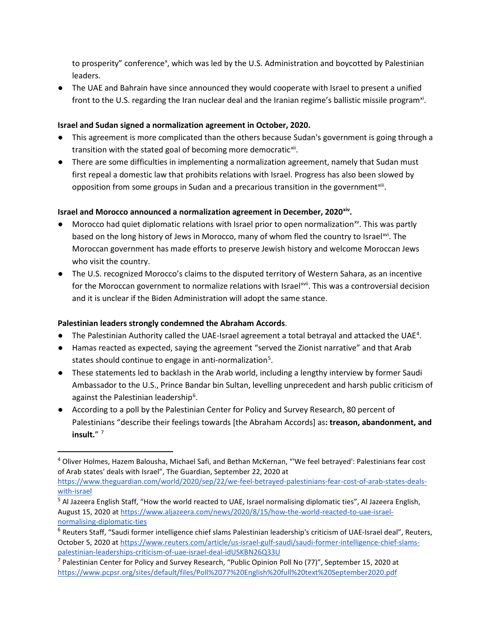to prosperity" conference<sup>[x](#page-2-9)</sup>, which was led by the U.S. Administration and boycotted by Palestinian leaders.

● The UAE and Bahrain have since announced they would cooperate with Israel to present a unified front to the U.S. regarding the Iran nuclear deal and the Iranian regime's ballistic missile program<sup>xi</sup>.

#### **Israel and Sudan signed a normalization agreement in October, 2020.**

- This agreement is more complicated than the others because Sudan's government is going through a transition with the stated goal of becoming more democratic<sup>[xii](#page-2-11)</sup>.
- There are some difficulties in implementing a normalization agreement, namely that Sudan must first repeal a domestic law that prohibits relations with Israel. Progress has also been slowed by opposition from some groups in Sudan and a precarious transition in the government $x$ <sup>iii</sup>.

## **Israel and Morocco announced a normalization agreement in December, 2020[xiv](#page-2-13).**

- $\bullet$  Morocco had quiet diplomatic relations with Israel prior to open normalization<sup>[xv](#page-2-14)</sup>. This was partly based on the long history of Jews in Morocco, many of whom fled the country to Israel<sup>[xvi](#page-2-15)</sup>. The Moroccan government has made efforts to preserve Jewish history and welcome Moroccan Jews who visit the country.
- The U.S. recognized Morocco's claims to the disputed territory of Western Sahara, as an incentive for the Moroccan government to normalize relations with Israel<sup>xvii</sup>. This was a controversial decision and it is unclear if the Biden Administration will adopt the same stance.

## **Palestinian leaders strongly condemned the Abraham Accords**.

- $\bullet$  The Palestinian Authority called the UAE-Israel agreement a total betrayal and attacked the UAE<sup>[4](#page-1-0)</sup>.
- Hamas reacted as expected, saying the agreement "served the Zionist narrative" and that Arab states should continue to engage in anti-normalization<sup>[5](#page-1-1)</sup>.
- These statements led to backlash in the Arab world, including a lengthy interview by former Saudi Ambassador to the U.S., Prince Bandar bin Sultan, levelling unprecedent and harsh public criticism of against the Palestinian leadership<sup>6</sup>.
- According to a poll by the Palestinian Center for Policy and Survey Research, 80 percent of Palestinians "describe their feelings towards [the Abraham Accords] as**: treason, abandonment, and insult.**" [7](#page-1-3)

<span id="page-1-0"></span><sup>4</sup> Oliver Holmes, Hazem Balousha, Michael Safi, and Bethan McKernan, "'We feel betrayed': Palestinians fear cost of Arab states' deals with Israel", The Guardian, September 22, 2020 at

[https://www.theguardian.com/world/2020/sep/22/we-feel-betrayed-palestinians-fear-cost-of-arab-states-deals](https://www.theguardian.com/world/2020/sep/22/we-feel-betrayed-palestinians-fear-cost-of-arab-states-deals-with-israel)[with-israel](https://www.theguardian.com/world/2020/sep/22/we-feel-betrayed-palestinians-fear-cost-of-arab-states-deals-with-israel)

<span id="page-1-1"></span><sup>&</sup>lt;sup>5</sup> Al Jazeera English Staff, "How the world reacted to UAE, Israel normalising diplomatic ties", Al Jazeera English, August 15, 2020 a[t https://www.aljazeera.com/news/2020/8/15/how-the-world-reacted-to-uae-israel](https://www.aljazeera.com/news/2020/8/15/how-the-world-reacted-to-uae-israel-normalising-diplomatic-ties)[normalising-diplomatic-ties](https://www.aljazeera.com/news/2020/8/15/how-the-world-reacted-to-uae-israel-normalising-diplomatic-ties)

<span id="page-1-2"></span> $6$  Reuters Staff, "Saudi former intelligence chief slams Palestinian leadership's criticism of UAE-Israel deal", Reuters, October 5, 2020 at [https://www.reuters.com/article/us-israel-gulf-saudi/saudi-former-intelligence-chief-slams](https://www.reuters.com/article/us-israel-gulf-saudi/saudi-former-intelligence-chief-slams-palestinian-leaderships-criticism-of-uae-israel-deal-idUSKBN26Q33U)[palestinian-leaderships-criticism-of-uae-israel-deal-idUSKBN26Q33U](https://www.reuters.com/article/us-israel-gulf-saudi/saudi-former-intelligence-chief-slams-palestinian-leaderships-criticism-of-uae-israel-deal-idUSKBN26Q33U)

<span id="page-1-3"></span><sup>&</sup>lt;sup>7</sup> Palestinian Center for Policy and Survey Research, "Public Opinion Poll No (77)", September 15, 2020 at <https://www.pcpsr.org/sites/default/files/Poll%2077%20English%20full%20text%20September2020.pdf>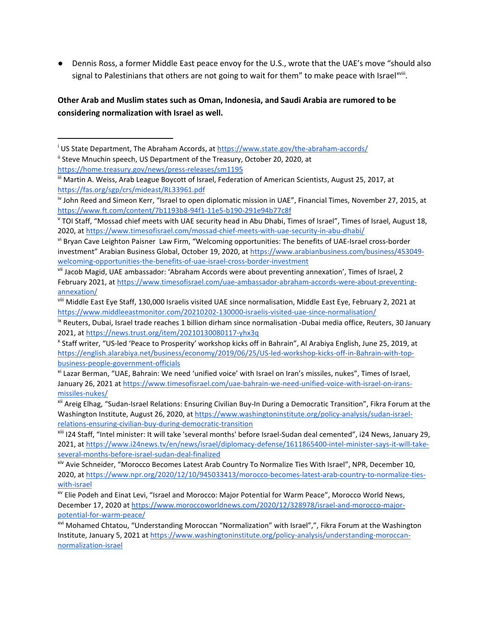● Dennis Ross, a former Middle East peace envoy for the U.S., wrote that the UAE's move "should also signal to Palestinians that others are not going to wait for them" to make peace with Israelxviii[.](#page-3-1)

### **Other Arab and Muslim states such as Oman, Indonesia, and Saudi Arabia are rumored to be considering normalization with Israel as well.**

<span id="page-2-1"></span><span id="page-2-0"></span><sup>&</sup>lt;sup>i</sup> US State Department, The Abraham Accords, at<https://www.state.gov/the-abraham-accords/> <sup>ii</sup> Steve Mnuchin speech, US Department of the Treasury, October 20, 2020, at <https://home.treasury.gov/news/press-releases/sm1195>

<span id="page-2-2"></span>iii Martin A. Weiss, Arab League Boycott of Israel, Federation of American Scientists, August 25, 2017, at <https://fas.org/sgp/crs/mideast/RL33961.pdf>

<span id="page-2-3"></span>iv John Reed and Simeon Kerr, "Israel to open diplomatic mission in UAE", Financial Times, November 27, 2015, at <https://www.ft.com/content/7b1193b8-94f1-11e5-b190-291e94b77c8f>

<span id="page-2-4"></span><sup>&</sup>lt;sup>v</sup> TOI Staff, "Mossad chief meets with UAE security head in Abu Dhabi, Times of Israel", Times of Israel, August 18, 2020, a[t https://www.timesofisrael.com/mossad-chief-meets-with-uae-security-in-abu-dhabi/](https://www.timesofisrael.com/mossad-chief-meets-with-uae-security-in-abu-dhabi/)

<span id="page-2-5"></span>vi Bryan Cave Leighton Paisner Law Firm, "Welcoming opportunities: The benefits of UAE-Israel cross-border investment" Arabian Business Global, October 19, 2020, at [https://www.arabianbusiness.com/business/453049](https://www.arabianbusiness.com/business/453049-welcoming-opportunities-the-benefits-of-uae-israel-cross-border-investment) [welcoming-opportunities-the-benefits-of-uae-israel-cross-border-investment](https://www.arabianbusiness.com/business/453049-welcoming-opportunities-the-benefits-of-uae-israel-cross-border-investment)

<span id="page-2-6"></span>vii Jacob Magid, UAE ambassador: 'Abraham Accords were about preventing annexation', Times of Israel, 2 February 2021, at [https://www.timesofisrael.com/uae-ambassador-abraham-accords-were-about-preventing](https://www.timesofisrael.com/uae-ambassador-abraham-accords-were-about-preventing-annexation/)[annexation/](https://www.timesofisrael.com/uae-ambassador-abraham-accords-were-about-preventing-annexation/)

<span id="page-2-7"></span>viii Middle East Eye Staff, 130,000 Israelis visited UAE since normalisation, Middle East Eye, February 2, 2021 at <https://www.middleeastmonitor.com/20210202-130000-israelis-visited-uae-since-normalisation/>

<span id="page-2-8"></span>ix Reuters, Dubai, Israel trade reaches 1 billion dirham since normalisation -Dubai media office, Reuters, 30 January 2021, a[t https://news.trust.org/item/20210130080117-yhx3q](https://news.trust.org/item/20210130080117-yhx3q)

<span id="page-2-9"></span><sup>x</sup> Staff writer, "US-led 'Peace to Prosperity' workshop kicks off in Bahrain", Al Arabiya English, June 25, 2019, at [https://english.alarabiya.net/business/economy/2019/06/25/US-led-workshop-kicks-off-in-Bahrain-with-top](https://english.alarabiya.net/business/economy/2019/06/25/US-led-workshop-kicks-off-in-Bahrain-with-top-business-people-government-officials)[business-people-government-officials](https://english.alarabiya.net/business/economy/2019/06/25/US-led-workshop-kicks-off-in-Bahrain-with-top-business-people-government-officials)

<span id="page-2-10"></span>xi Lazar Berman, "UAE, Bahrain: We need 'unified voice' with Israel on Iran's missiles, nukes", Times of Israel, January 26, 2021 a[t https://www.timesofisrael.com/uae-bahrain-we-need-unified-voice-with-israel-on-irans](https://www.timesofisrael.com/uae-bahrain-we-need-unified-voice-with-israel-on-irans-missiles-nukes/)[missiles-nukes/](https://www.timesofisrael.com/uae-bahrain-we-need-unified-voice-with-israel-on-irans-missiles-nukes/)

<span id="page-2-11"></span>xii Areig Elhag, "Sudan-Israel Relations: Ensuring Civilian Buy-In During a Democratic Transition", Fikra Forum at the Washington Institute, August 26, 2020, at [https://www.washingtoninstitute.org/policy-analysis/sudan-israel](https://www.washingtoninstitute.org/policy-analysis/sudan-israel-relations-ensuring-civilian-buy-during-democratic-transition)[relations-ensuring-civilian-buy-during-democratic-transition](https://www.washingtoninstitute.org/policy-analysis/sudan-israel-relations-ensuring-civilian-buy-during-democratic-transition)

<span id="page-2-12"></span>xiii I24 Staff, "Intel minister: It will take 'several months' before Israel-Sudan deal cemented", i24 News, January 29, 2021, a[t https://www.i24news.tv/en/news/israel/diplomacy-defense/1611865400-intel-minister-says-it-will-take](https://www.i24news.tv/en/news/israel/diplomacy-defense/1611865400-intel-minister-says-it-will-take-several-months-before-israel-sudan-deal-finalized)[several-months-before-israel-sudan-deal-finalized](https://www.i24news.tv/en/news/israel/diplomacy-defense/1611865400-intel-minister-says-it-will-take-several-months-before-israel-sudan-deal-finalized)

<span id="page-2-13"></span>xiv Avie Schneider, "Morocco Becomes Latest Arab Country To Normalize Ties With Israel", NPR, December 10, 2020, a[t https://www.npr.org/2020/12/10/945033413/morocco-becomes-latest-arab-country-to-normalize-ties](https://www.npr.org/2020/12/10/945033413/morocco-becomes-latest-arab-country-to-normalize-ties-with-israel)[with-israel](https://www.npr.org/2020/12/10/945033413/morocco-becomes-latest-arab-country-to-normalize-ties-with-israel)

<span id="page-2-14"></span>xv Elie Podeh and Einat Levi, "Israel and Morocco: Major Potential for Warm Peace", Morocco World News, December 17, 2020 at [https://www.moroccoworldnews.com/2020/12/328978/israel-and-morocco-major](https://www.moroccoworldnews.com/2020/12/328978/israel-and-morocco-major-potential-for-warm-peace/)[potential-for-warm-peace/](https://www.moroccoworldnews.com/2020/12/328978/israel-and-morocco-major-potential-for-warm-peace/)

<span id="page-2-15"></span>xvi Mohamed Chtatou, "Understanding Moroccan "Normalization" with Israel",", Fikra Forum at the Washington Institute, January 5, 2021 a[t https://www.washingtoninstitute.org/policy-analysis/understanding-moroccan](https://www.washingtoninstitute.org/policy-analysis/understanding-moroccan-normalization-israel)[normalization-israel](https://www.washingtoninstitute.org/policy-analysis/understanding-moroccan-normalization-israel)